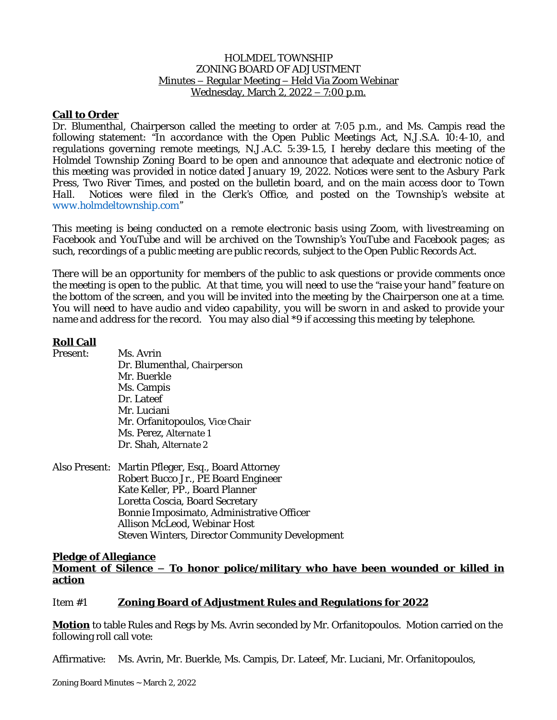#### HOLMDEL TOWNSHIP ZONING BOARD OF ADJUSTMENT Minutes – Regular Meeting – Held Via Zoom Webinar Wednesday, March 2, 2022 – 7:00 p.m.

# **Call to Order**

Dr. Blumenthal, Chairperson called the meeting to order at 7:05 p.m., and Ms. Campis read the following statement: *"In accordance with the Open Public Meetings Act, N.J.S.A. 10:4-10, and regulations governing remote meetings, N.J.A.C. 5:39-1.5, I hereby declare this meeting of the Holmdel Township Zoning Board to be open and announce that adequate and electronic notice of this meeting was provided in notice dated January 19, 2022. Notices were sent to the Asbury Park Press, Two River Times, and posted on the bulletin board, and on the main access door to Town Hall. Notices were filed in the Clerk's Office, and posted on the Township's website at [www.holmdeltownship.com](http://www.holmdeltownship.com)"*

*This meeting is being conducted on a remote electronic basis using Zoom, with livestreaming on Facebook and YouTube and will be archived on the Township's YouTube and Facebook pages; as such, recordings of a public meeting are public records, subject to the Open Public Records Act.*

*There will be an opportunity for members of the public to ask questions or provide comments once* the meeting is open to the public. At that time, you will need to use the "raise your hand" feature on the bottom of the screen, and you will be invited into the meeting by the Chairperson one at a time. You will need to have audio and video capability, you will be sworn in and asked to provide your *name and address for the record. You may also dial \*9 if accessing this meeting by telephone.*

## **Roll Call**

| Present: | Ms. Avrin                                          |
|----------|----------------------------------------------------|
|          | Dr. Blumenthal, Chairperson                        |
|          | Mr. Buerkle                                        |
|          | Ms. Campis                                         |
|          | Dr. Lateef                                         |
|          | Mr. Luciani                                        |
|          | Mr. Orfanitopoulos, Vice Chair                     |
|          | Ms. Perez, Alternate 1                             |
|          | Dr. Shah, Alternate 2                              |
|          | Also Present: Martin Pfleger, Esq., Board Attorney |
|          |                                                    |
|          | Robert Bucco Jr., PE Board Engineer                |
|          | Kate Keller, PP., Board Planner                    |
|          | Lorotto Cosoia, Roard Cooratany                    |

Loretta Coscia, Board Secretary Bonnie Imposimato, Administrative Officer Allison McLeod, Webinar Host Steven Winters, Director Community Development

## **Pledge of Allegiance Moment of Silence – To honor police/military who have been wounded or killed in action**

## Item #1 **Zoning Board of Adjustment Rules and Regulations for 2022**

**Motion** to table Rules and Regs by Ms. Avrin seconded by Mr. Orfanitopoulos. Motion carried on the following roll call vote:

Affirmative: Ms. Avrin, Mr. Buerkle, Ms. Campis, Dr. Lateef, Mr. Luciani, Mr. Orfanitopoulos,